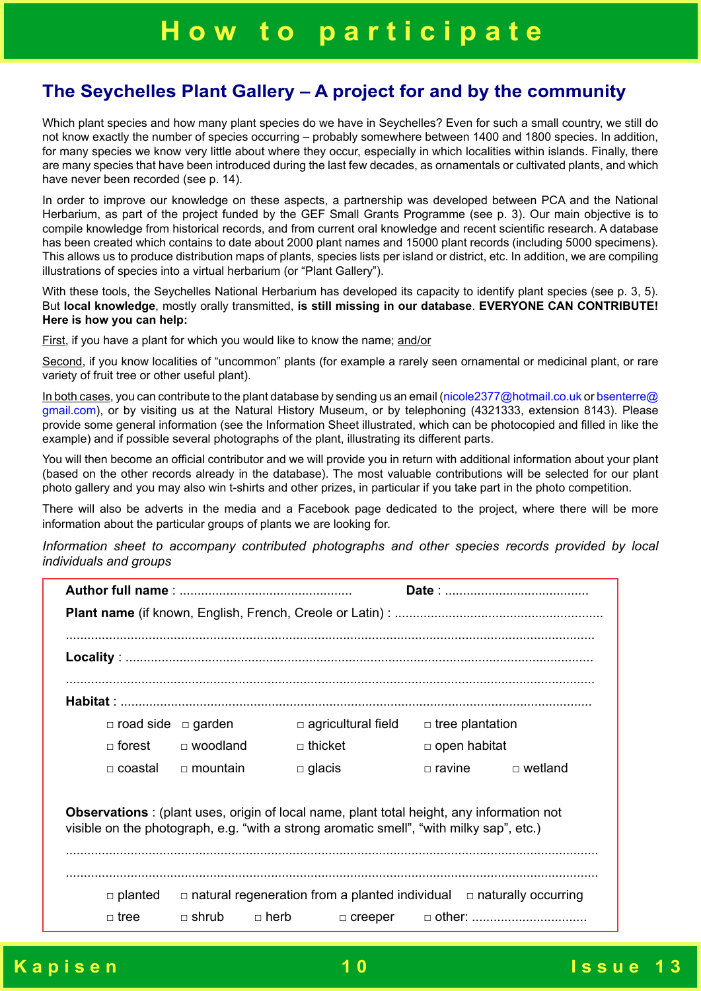## **The Seychelles Plant Gallery – A project for and by the community**

Which plant species and how many plant species do we have in Seychelles? Even for such a small country, we still do not know exactly the number of species occurring – probably somewhere between 1400 and 1800 species. In addition, for many species we know very little about where they occur, especially in which localities within islands. Finally, there are many species that have been introduced during the last few decades, as ornamentals or cultivated plants, and which have never been recorded (see p. 14).

In order to improve our knowledge on these aspects, a partnership was developed between PCA and the National Herbarium, as part of the project funded by the GEF Small Grants Programme (see p. 3). Our main objective is to compile knowledge from historical records, and from current oral knowledge and recent scientific research. A database has been created which contains to date about 2000 plant names and 15000 plant records (including 5000 specimens). This allows us to produce distribution maps of plants, species lists per island or district, etc. In addition, we are compiling illustrations of species into a virtual herbarium (or "Plant Gallery").

With these tools, the Seychelles National Herbarium has developed its capacity to identify plant species (see p. 3, 5). But **local knowledge**, mostly orally transmitted, **is still missing in our database**. **EVERYONE CAN CONTRIBUTE! Here is how you can help:**

First, if you have a plant for which you would like to know the name; and/or

Second, if you know localities of "uncommon" plants (for example a rarely seen ornamental or medicinal plant, or rare variety of fruit tree or other useful plant).

In both cases, you can contribute to the plant database by sending us an email (nicole2377@hotmail.co.uk or bsenterre@ gmail.com), or by visiting us at the Natural History Museum, or by telephoning (4321333, extension 8143). Please provide some general information (see the Information Sheet illustrated, which can be photocopied and filled in like the example) and if possible several photographs of the plant, illustrating its different parts.

You will then become an official contributor and we will provide you in return with additional information about your plant (based on the other records already in the database). The most valuable contributions will be selected for our plant photo gallery and you may also win t-shirts and other prizes, in particular if you take part in the photo competition.

There will also be adverts in the media and a Facebook page dedicated to the project, where there will be more information about the particular groups of plants we are looking for.

*Information sheet to accompany contributed photographs and other species records provided by local individuals and groups*

| $\Box$ road side $\Box$ garden |                             | $\Box$ agricultural field                                                                                                                                                                   | $\Box$ tree plantation |           |  |  |  |  |
|--------------------------------|-----------------------------|---------------------------------------------------------------------------------------------------------------------------------------------------------------------------------------------|------------------------|-----------|--|--|--|--|
| $\Box$ forest                  | □ woodland                  | $\Box$ thicket                                                                                                                                                                              | $\Box$ open habitat    |           |  |  |  |  |
| $\Box$ coastal                 | $\Box$ mountain             | $\Box$ glacis                                                                                                                                                                               | $\Box$ ravine          | □ wetland |  |  |  |  |
|                                |                             | <b>Observations</b> : (plant uses, origin of local name, plant total height, any information not<br>visible on the photograph, e.g. "with a strong aromatic smell", "with milky sap", etc.) |                        |           |  |  |  |  |
| $\Box$ planted<br>$\Box$ tree  | $\Box$ shrub<br>$\Box$ herb | $\Box$ natural regeneration from a planted individual $\Box$ naturally occurring<br>$\Box$ creeper                                                                                          |                        |           |  |  |  |  |